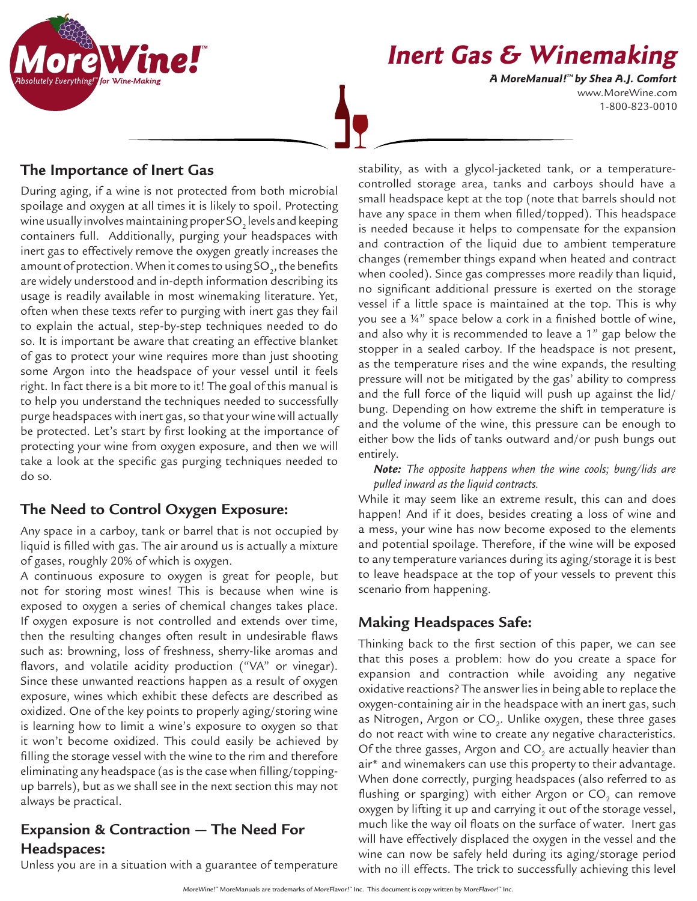

# **Inert Gas & Winemaking**

www.MoreWine.com 1-800-823-0010 **A MoreManual! ™ by Shea A.J. Comfort**

### **The Importance of Inert Gas**

During aging, if a wine is not protected from both microbial spoilage and oxygen at all times it is likely to spoil. Protecting wine usually involves maintaining proper SO $_2$  levels and keeping containers full. Additionally, purging your headspaces with inert gas to effectively remove the oxygen greatly increases the amount of protection. When it comes to using SO<sub>2</sub>, the benefits are widely understood and in-depth information describing its usage is readily available in most winemaking literature. Yet, often when these texts refer to purging with inert gas they fail to explain the actual, step-by-step techniques needed to do so. It is important be aware that creating an effective blanket of gas to protect your wine requires more than just shooting some Argon into the headspace of your vessel until it feels right. In fact there is a bit more to it! The goal of this manual is to help you understand the techniques needed to successfully purge headspaces with inert gas, so that your wine will actually be protected. Let's start by first looking at the importance of protecting your wine from oxygen exposure, and then we will take a look at the specific gas purging techniques needed to do so.

# **The Need to Control Oxygen Exposure:**

Any space in a carboy, tank or barrel that is not occupied by liquid is filled with gas. The air around us is actually a mixture of gases, roughly 20% of which is oxygen.

A continuous exposure to oxygen is great for people, but not for storing most wines! This is because when wine is exposed to oxygen a series of chemical changes takes place. If oxygen exposure is not controlled and extends over time, then the resulting changes often result in undesirable flaws such as: browning, loss of freshness, sherry-like aromas and flavors, and volatile acidity production ("VA" or vinegar). Since these unwanted reactions happen as a result of oxygen exposure, wines which exhibit these defects are described as oxidized. One of the key points to properly aging/storing wine is learning how to limit a wine's exposure to oxygen so that it won't become oxidized. This could easily be achieved by filling the storage vessel with the wine to the rim and therefore eliminating any headspace (as is the case when filling/toppingup barrels), but as we shall see in the next section this may not always be practical.

## **Expansion & Contraction — The Need For Headspaces:**

Unless you are in a situation with a guarantee of temperature

stability, as with a glycol-jacketed tank, or a temperaturecontrolled storage area, tanks and carboys should have a small headspace kept at the top (note that barrels should not have any space in them when filled/topped). This headspace is needed because it helps to compensate for the expansion and contraction of the liquid due to ambient temperature changes (remember things expand when heated and contract when cooled). Since gas compresses more readily than liquid, no significant additional pressure is exerted on the storage vessel if a little space is maintained at the top. This is why you see a ¼" space below a cork in a finished bottle of wine, and also why it is recommended to leave a 1" gap below the stopper in a sealed carboy. If the headspace is not present, as the temperature rises and the wine expands, the resulting pressure will not be mitigated by the gas' ability to compress and the full force of the liquid will push up against the lid/ bung. Depending on how extreme the shift in temperature is and the volume of the wine, this pressure can be enough to either bow the lids of tanks outward and/or push bungs out entirely.

*Note: The opposite happens when the wine cools; bung/lids are pulled inward as the liquid contracts.* 

While it may seem like an extreme result, this can and does happen! And if it does, besides creating a loss of wine and a mess, your wine has now become exposed to the elements and potential spoilage. Therefore, if the wine will be exposed to any temperature variances during its aging/storage it is best to leave headspace at the top of your vessels to prevent this scenario from happening.

# **Making Headspaces Safe:**

Thinking back to the first section of this paper, we can see that this poses a problem: how do you create a space for expansion and contraction while avoiding any negative oxidative reactions? The answer lies in being able to replace the oxygen-containing air in the headspace with an inert gas, such as Nitrogen, Argon or CO $_2^{\vphantom{\dagger}}$ . Unlike oxygen, these three gases do not react with wine to create any negative characteristics. Of the three gasses, Argon and CO $_{_2}$  are actually heavier than air\* and winemakers can use this property to their advantage. When done correctly, purging headspaces (also referred to as flushing or sparging) with either Argon or CO $_{_2}$  can remove oxygen by lifting it up and carrying it out of the storage vessel, much like the way oil floats on the surface of water. Inert gas will have effectively displaced the oxygen in the vessel and the wine can now be safely held during its aging/storage period with no ill effects. The trick to successfully achieving this level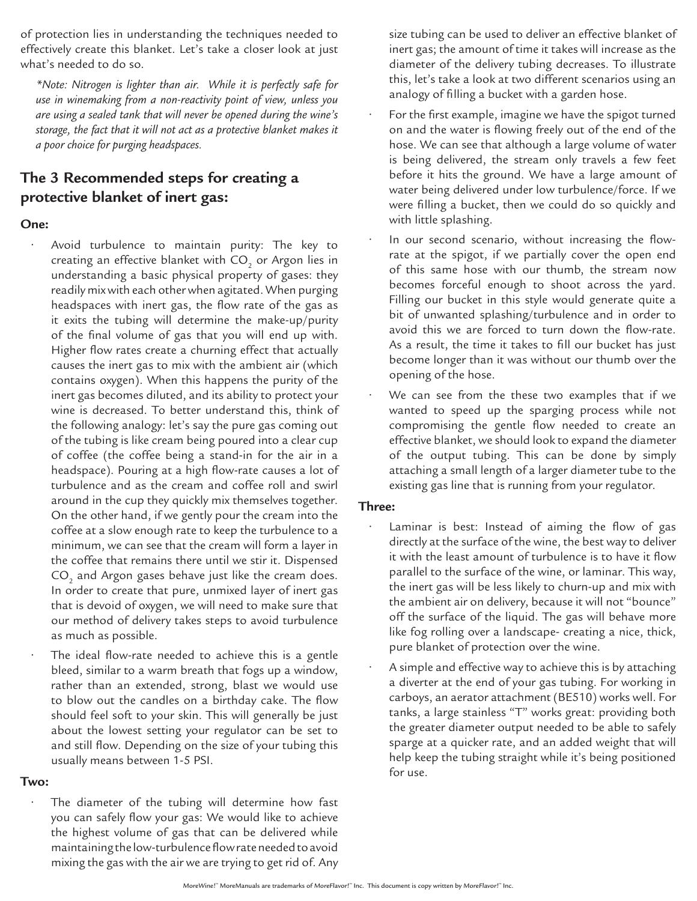of protection lies in understanding the techniques needed to effectively create this blanket. Let's take a closer look at just what's needed to do so.

*\*Note: Nitrogen is lighter than air. While it is perfectly safe for use in winemaking from a non-reactivity point of view, unless you are using a sealed tank that will never be opened during the wine's storage, the fact that it will not act as a protective blanket makes it a poor choice for purging headspaces.* 

## **The 3 Recommended steps for creating a protective blanket of inert gas:**

#### **One:**

- Avoid turbulence to maintain purity: The key to creating an effective blanket with CO $_{_2}$  or Argon lies in understanding a basic physical property of gases: they readily mix with each other when agitated. When purging headspaces with inert gas, the flow rate of the gas as it exits the tubing will determine the make-up/purity of the final volume of gas that you will end up with. Higher flow rates create a churning effect that actually causes the inert gas to mix with the ambient air (which contains oxygen). When this happens the purity of the inert gas becomes diluted, and its ability to protect your wine is decreased. To better understand this, think of the following analogy: let's say the pure gas coming out of the tubing is like cream being poured into a clear cup of coffee (the coffee being a stand-in for the air in a headspace). Pouring at a high flow-rate causes a lot of turbulence and as the cream and coffee roll and swirl around in the cup they quickly mix themselves together. On the other hand, if we gently pour the cream into the coffee at a slow enough rate to keep the turbulence to a minimum, we can see that the cream will form a layer in the coffee that remains there until we stir it. Dispensed  $\mathrm{CO}_2$  and Argon gases behave just like the cream does. In order to create that pure, unmixed layer of inert gas that is devoid of oxygen, we will need to make sure that our method of delivery takes steps to avoid turbulence as much as possible.
- The ideal flow-rate needed to achieve this is a gentle bleed, similar to a warm breath that fogs up a window, rather than an extended, strong, blast we would use to blow out the candles on a birthday cake. The flow should feel soft to your skin. This will generally be just about the lowest setting your regulator can be set to and still flow. Depending on the size of your tubing this usually means between 1-5 PSI.

#### **Two:**

The diameter of the tubing will determine how fast you can safely flow your gas: We would like to achieve the highest volume of gas that can be delivered while maintaining the low-turbulence flow rate needed to avoid mixing the gas with the air we are trying to get rid of. Any size tubing can be used to deliver an effective blanket of inert gas; the amount of time it takes will increase as the diameter of the delivery tubing decreases. To illustrate this, let's take a look at two different scenarios using an analogy of filling a bucket with a garden hose.

- For the first example, imagine we have the spigot turned on and the water is flowing freely out of the end of the hose. We can see that although a large volume of water is being delivered, the stream only travels a few feet before it hits the ground. We have a large amount of water being delivered under low turbulence/force. If we were filling a bucket, then we could do so quickly and with little splashing.
- In our second scenario, without increasing the flowrate at the spigot, if we partially cover the open end of this same hose with our thumb, the stream now becomes forceful enough to shoot across the yard. Filling our bucket in this style would generate quite a bit of unwanted splashing/turbulence and in order to avoid this we are forced to turn down the flow-rate. As a result, the time it takes to fill our bucket has just become longer than it was without our thumb over the opening of the hose.
- We can see from the these two examples that if we wanted to speed up the sparging process while not compromising the gentle flow needed to create an effective blanket, we should look to expand the diameter of the output tubing. This can be done by simply attaching a small length of a larger diameter tube to the existing gas line that is running from your regulator.

#### **Three:**

- Laminar is best: Instead of aiming the flow of gas directly at the surface of the wine, the best way to deliver it with the least amount of turbulence is to have it flow parallel to the surface of the wine, or laminar. This way, the inert gas will be less likely to churn-up and mix with the ambient air on delivery, because it will not "bounce" off the surface of the liquid. The gas will behave more like fog rolling over a landscape- creating a nice, thick, pure blanket of protection over the wine.
- A simple and effective way to achieve this is by attaching a diverter at the end of your gas tubing. For working in carboys, an aerator attachment (BE510) works well. For tanks, a large stainless "T" works great: providing both the greater diameter output needed to be able to safely sparge at a quicker rate, and an added weight that will help keep the tubing straight while it's being positioned for use.